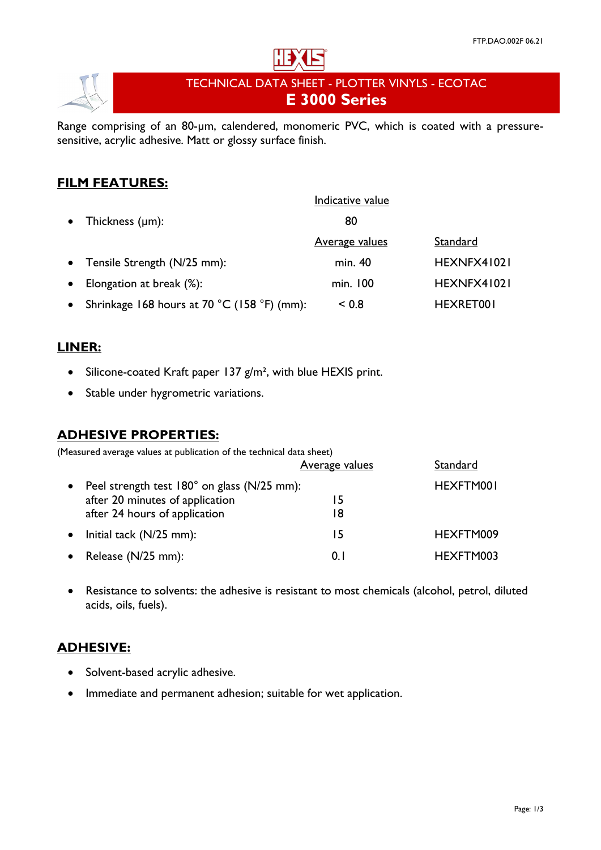

# TECHNICAL DATA SHEET - PLOTTER VINYLS - ECOTAC **E 3000 Series**

Range comprising of an 80-µm, calendered, monomeric PVC, which is coated with a pressuresensitive, acrylic adhesive. Matt or glossy surface finish.

# **FILM FEATURES:**

|           |                                             | Indicative value      |             |
|-----------|---------------------------------------------|-----------------------|-------------|
|           | • Thickness $(\mu m)$ :                     | 80                    |             |
|           |                                             | <b>Average values</b> | Standard    |
|           | • Tensile Strength (N/25 mm):               | min. 40               | HEXNFX41021 |
| $\bullet$ | Elongation at break (%):                    | min. 100              | HEXNFX41021 |
| $\bullet$ | Shrinkage 168 hours at 70 °C (158 °F) (mm): | < 0.8                 | HEXRET001   |

### **LINER:**

- Silicone-coated Kraft paper 137 g/m<sup>2</sup>, with blue HEXIS print.
- Stable under hygrometric variations.

#### **ADHESIVE PROPERTIES:**

(Measured average values at publication of the technical data sheet)

|           |                                             | Average values | Standard  |
|-----------|---------------------------------------------|----------------|-----------|
|           | Peel strength test 180° on glass (N/25 mm): |                | HEXFTM001 |
|           | after 20 minutes of application             | 15             |           |
|           | after 24 hours of application               | 18             |           |
| $\bullet$ | Initial tack (N/25 mm):                     | 15.            | HEXFTM009 |
|           | Release (N/25 mm):                          | 0. I           | HEXFTM003 |

• Resistance to solvents: the adhesive is resistant to most chemicals (alcohol, petrol, diluted acids, oils, fuels).

# **ADHESIVE:**

- Solvent-based acrylic adhesive.
- Immediate and permanent adhesion; suitable for wet application.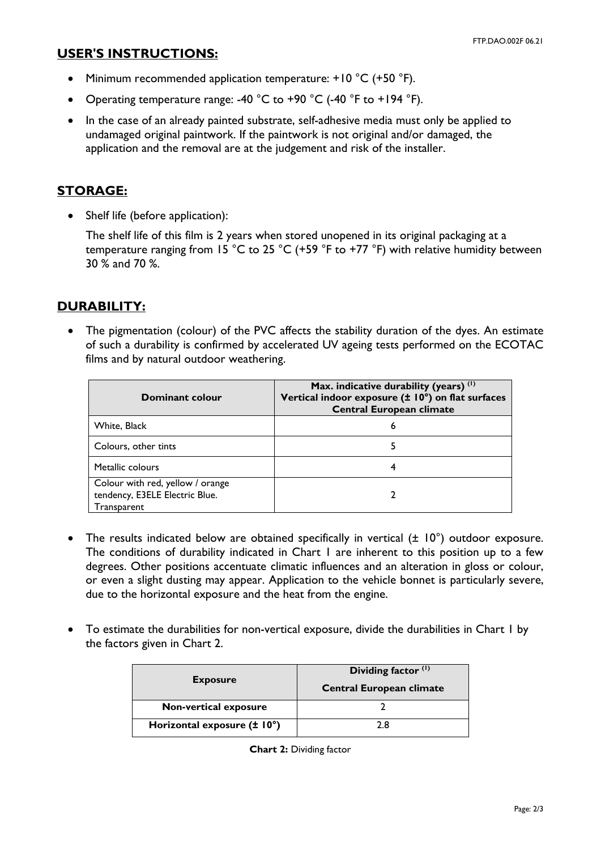#### **USER'S INSTRUCTIONS:**

- Minimum recommended application temperature: +10 °C (+50 °F).
- Operating temperature range: -40 °C to +90 °C (-40 °F to +194 °F).
- In the case of an already painted substrate, self-adhesive media must only be applied to undamaged original paintwork. If the paintwork is not original and/or damaged, the application and the removal are at the judgement and risk of the installer.

### **STORAGE:**

• Shelf life (before application):

The shelf life of this film is 2 years when stored unopened in its original packaging at a temperature ranging from 15 °C to 25 °C (+59 °F to +77 °F) with relative humidity between 30 % and 70 %.

# **DURABILITY:**

• The pigmentation (colour) of the PVC affects the stability duration of the dyes. An estimate of such a durability is confirmed by accelerated UV ageing tests performed on the ECOTAC films and by natural outdoor weathering.

| Dominant colour                                                                   | Max. indicative durability (years) $(1)$<br>Vertical indoor exposure (± 10°) on flat surfaces<br><b>Central European climate</b> |
|-----------------------------------------------------------------------------------|----------------------------------------------------------------------------------------------------------------------------------|
| White, Black                                                                      | 6                                                                                                                                |
| Colours, other tints                                                              |                                                                                                                                  |
| Metallic colours                                                                  |                                                                                                                                  |
| Colour with red, yellow / orange<br>tendency, E3ELE Electric Blue.<br>Transparent |                                                                                                                                  |

- The results indicated below are obtained specifically in vertical ( $\pm$  10°) outdoor exposure. The conditions of durability indicated in Chart 1 are inherent to this position up to a few degrees. Other positions accentuate climatic influences and an alteration in gloss or colour, or even a slight dusting may appear. Application to the vehicle bonnet is particularly severe, due to the horizontal exposure and the heat from the engine.
- To estimate the durabilities for non-vertical exposure, divide the durabilities in Chart 1 by the factors given in Chart 2.

| <b>Exposure</b>              | Dividing factor <sup>(1)</sup>  |  |
|------------------------------|---------------------------------|--|
|                              | <b>Central European climate</b> |  |
| <b>Non-vertical exposure</b> |                                 |  |
| Horizontal exposure (± 10°)  | ን ጸ                             |  |

**Chart 2:** Dividing factor